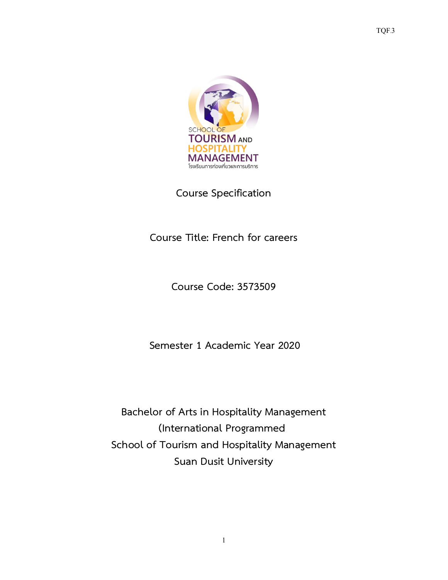

**Course Specification**

**Course Title: French for careers**

**Course Code: 3573509**

**Semester 1 Academic Year 2020**

**Bachelor of Arts in Hospitality Management (International Programmed School of Tourism and Hospitality Management Suan Dusit University**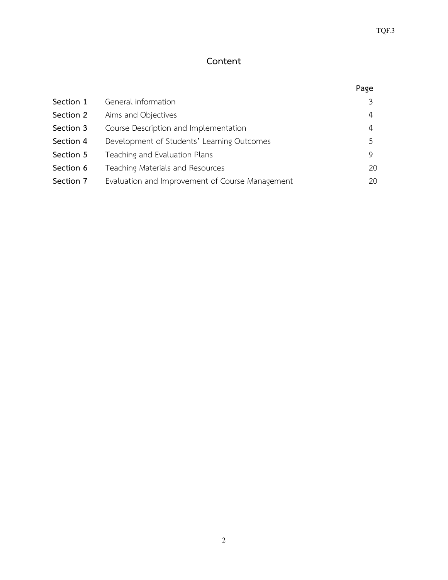# **Content**

|           |                                                 | Page |
|-----------|-------------------------------------------------|------|
| Section 1 | General information                             | 3    |
| Section 2 | Aims and Objectives                             | 4    |
| Section 3 | Course Description and Implementation           | 4    |
| Section 4 | Development of Students' Learning Outcomes      | 5    |
| Section 5 | Teaching and Evaluation Plans                   | 9    |
| Section 6 | Teaching Materials and Resources                | 20   |
| Section 7 | Evaluation and Improvement of Course Management | 20   |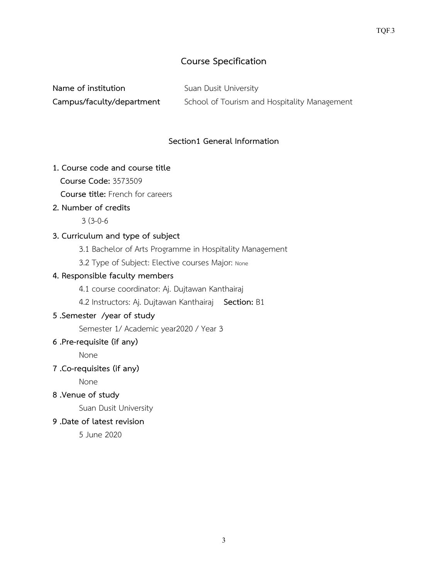# **Course Specification**

| Name of institution       | Suan Dusit University                        |
|---------------------------|----------------------------------------------|
| Campus/faculty/department | School of Tourism and Hospitality Management |

#### **Section1 General Information**

#### **1. Course code and course title**

**Course Code:** 3573509

 **Course title:** French for careers

#### **2. Number of credits**

3 (3-0-6

#### **3. Curriculum and type of subject**

3.1 Bachelor of Arts Programme in Hospitality Management

3.2 Type of Subject: Elective courses Major: None

### **4. Responsible faculty members**

4.1 course coordinator: Aj. Dujtawan Kanthairaj

4.2 Instructors: Aj. Dujtawan Kanthairaj **Section:** B1

# **5 .Semester /year of study**

Semester 1/ Academic year2020 / Year 3

#### **6 .Pre-requisite (if any)**

None

## **7 .Co-requisites (if any)**

None

**8 .Venue of study**

Suan Dusit University

# **9 .Date of latest revision**

5 June 2020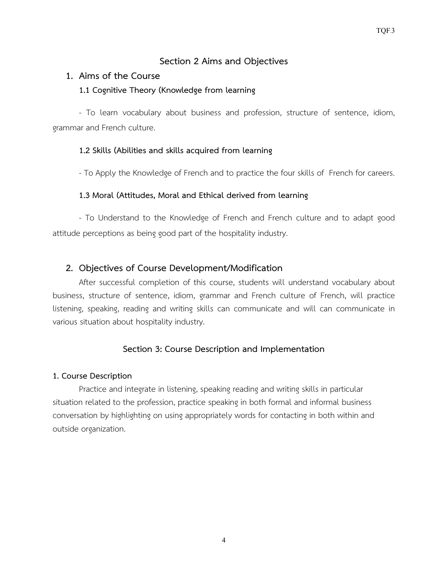# **Section 2 Aims and Objectives**

## **1. Aims of the Course**

## **1.1 Cognitive Theory (Knowledge from learning**

- To learn vocabulary about business and profession, structure of sentence, idiom, grammar and French culture.

# **1.2 Skills (Abilities and skills acquired from learning**

- To Apply the Knowledge of French and to practice the four skills of French for careers.

## **1.3 Moral (Attitudes, Moral and Ethical derived from learning**

- To Understand to the Knowledge of French and French culture and to adapt good attitude perceptions as being good part of the hospitality industry.

# **2. Objectives of Course Development/Modification**

After successful completion of this course, students will understand vocabulary about business, structure of sentence, idiom, grammar and French culture of French, will practice listening, speaking, reading and writing skills can communicate and will can communicate in various situation about hospitality industry.

# **Section 3: Course Description and Implementation**

## **1. Course Description**

Practice and integrate in listening, speaking reading and writing skills in particular situation related to the profession, practice speaking in both formal and informal business conversation by highlighting on using appropriately words for contacting in both within and outside organization.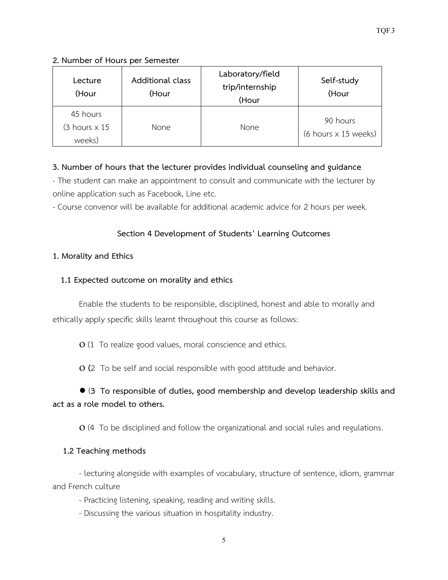# **2. Number of Hours per Semester**

| Lecture<br>(Hour                                    | Additional class<br>(Hour | Laboratory/field<br>trip/internship<br>(Hour | Self-study<br>(Hour                                     |
|-----------------------------------------------------|---------------------------|----------------------------------------------|---------------------------------------------------------|
| 45 hours<br>$(3 \text{ hours} \times 15)$<br>weeks) | <b>None</b>               | <b>None</b>                                  | 90 hours<br>$(6 \text{ hours} \times 15 \text{ weeks})$ |

# **3. Number of hours that the lecturer provides individual counseling and guidance**

- The student can make an appointment to consult and communicate with the lecturer by online application such as Facebook, Line etc.

- Course convenor will be available for additional academic advice for 2 hours per week.

# **Section 4 Development of Students' Learning Outcomes**

# **1. Morality and Ethics**

# **1.1 Expected outcome on morality and ethics**

Enable the students to be responsible, disciplined, honest and able to morally and ethically apply specific skills learnt throughout this course as follows:

ο (1 To realize good values, moral conscience and ethics.

ο **(**2 To be self and social responsible with good attitude and behavior.

# **●** (**3 To responsible of duties, good membership and develop leadership skills and act as a role model to others.**

ο (4 To be disciplined and follow the organizational and social rules and regulations.

# **1.2 Teaching methods**

- lecturing alongside with examples of vocabulary, structure of sentence, idiom, grammar and French culture

- Practicing listening, speaking, reading and writing skills.

- Discussing the various situation in hospitality industry.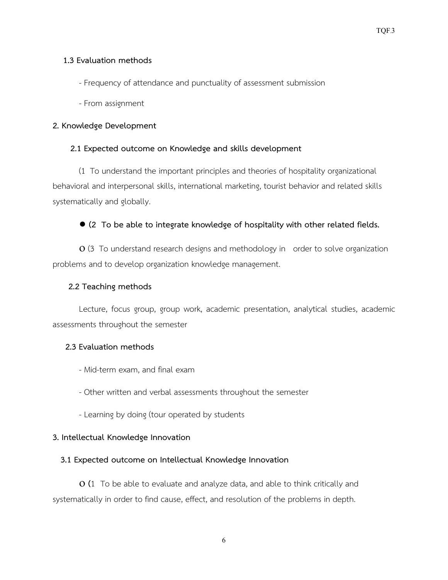#### **1.3 Evaluation methods**

- Frequency of attendance and punctuality of assessment submission
- From assignment

#### **2. Knowledge Development**

#### **2.1 Expected outcome on Knowledge and skills development**

(1 To understand the important principles and theories of hospitality organizational behavioral and interpersonal skills, international marketing, tourist behavior and related skills systematically and globally.

## ● **(2 To be able to integrate knowledge of hospitality with other related fields.**

ο (3 To understand research designs and methodology in order to solve organization problems and to develop organization knowledge management.

#### **2.2 Teaching methods**

Lecture, focus group, group work, academic presentation, analytical studies, academic assessments throughout the semester

#### **2.3 Evaluation methods**

- Mid-term exam, and final exam
- Other written and verbal assessments throughout the semester
- Learning by doing (tour operated by students

#### **3. Intellectual Knowledge Innovation**

#### **3.1 Expected outcome on Intellectual Knowledge Innovation**

ο **(**1 To be able to evaluate and analyze data, and able to think critically and systematically in order to find cause, effect, and resolution of the problems in depth.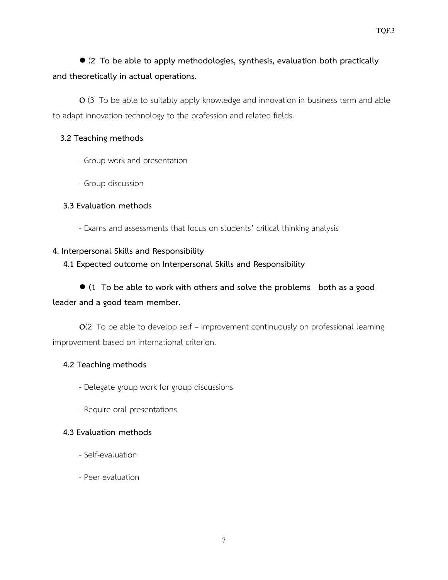# ● (**2 To be able to apply methodologies, synthesis, evaluation both practically and theoretically in actual operations.**

**O** (3 To be able to suitably apply knowledge and innovation in business term and able to adapt innovation technology to the profession and related fields.

#### **3.2 Teaching methods**

- Group work and presentation
- Group discussion

#### **3.3 Evaluation methods**

- Exams and assessments that focus on students' critical thinking analysis

#### **4. Interpersonal Skills and Responsibility**

 **4.1 Expected outcome on Interpersonal Skills and Responsibility**

**● (1 To be able to work with others and solve the problems both as a good leader and a good team member.**

ο(2 To be able to develop self – improvement continuously on professional learning improvement based on international criterion.

#### **4.2 Teaching methods**

- Delegate group work for group discussions
- Require oral presentations

## **4.3 Evaluation methods**

- Self-evaluation
- Peer evaluation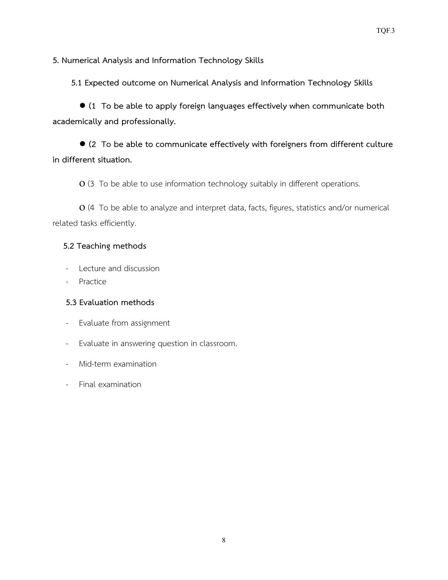**5. Numerical Analysis and Information Technology Skills**

 **5.1 Expected outcome on Numerical Analysis and Information Technology Skills**

● **(1 To be able to apply foreign languages effectively when communicate both academically and professionally.**

● **(2 To be able to communicate effectively with foreigners from different culture in different situation.**

**O** (3 To be able to use information technology suitably in different operations.

ο (4 To be able to analyze and interpret data, facts, figures, statistics and/or numerical related tasks efficiently.

## **5.2 Teaching methods**

- Lecture and discussion
- Practice

## **5.3 Evaluation methods**

- Evaluate from assignment
- Evaluate in answering question in classroom.
- Mid-term examination
- Final examination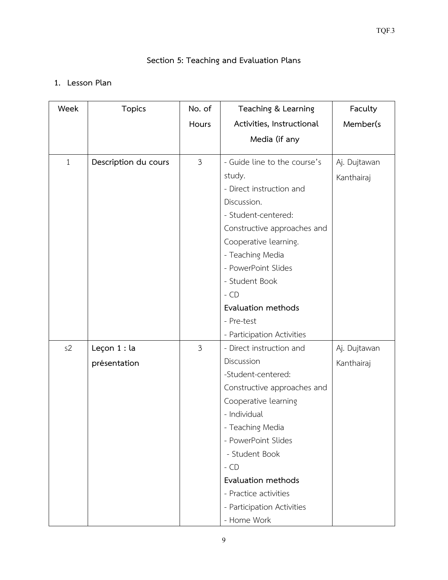# **Section 5: Teaching and Evaluation Plans**

# **1. Lesson Plan**

| Week         | <b>Topics</b>        | No. of         | Teaching & Learning          | Faculty      |
|--------------|----------------------|----------------|------------------------------|--------------|
|              |                      | Hours          | Activities, Instructional    | Member(s     |
|              |                      |                | Media (if any                |              |
| $\mathbf{1}$ | Description du cours | $\mathfrak{Z}$ | - Guide line to the course's | Aj. Dujtawan |
|              |                      |                | study.                       | Kanthairaj   |
|              |                      |                | - Direct instruction and     |              |
|              |                      |                | Discussion.                  |              |
|              |                      |                | - Student-centered:          |              |
|              |                      |                | Constructive approaches and  |              |
|              |                      |                | Cooperative learning.        |              |
|              |                      |                | - Teaching Media             |              |
|              |                      |                | - PowerPoint Slides          |              |
|              |                      |                | - Student Book               |              |
|              |                      |                | $-$ CD                       |              |
|              |                      |                | Evaluation methods           |              |
|              |                      |                | - Pre-test                   |              |
|              |                      |                | - Participation Activities   |              |
| s2           | Leçon $1:$ la        | $\mathfrak{Z}$ | - Direct instruction and     | Aj. Dujtawan |
|              | présentation         |                | Discussion                   | Kanthairaj   |
|              |                      |                | -Student-centered:           |              |
|              |                      |                | Constructive approaches and  |              |
|              |                      |                | Cooperative learning         |              |
|              |                      |                | - Individual                 |              |
|              |                      |                | - Teaching Media             |              |
|              |                      |                | - PowerPoint Slides          |              |
|              |                      |                | - Student Book               |              |
|              |                      |                | $-$ CD                       |              |
|              |                      |                | Evaluation methods           |              |
|              |                      |                | - Practice activities        |              |
|              |                      |                | - Participation Activities   |              |
|              |                      |                | - Home Work                  |              |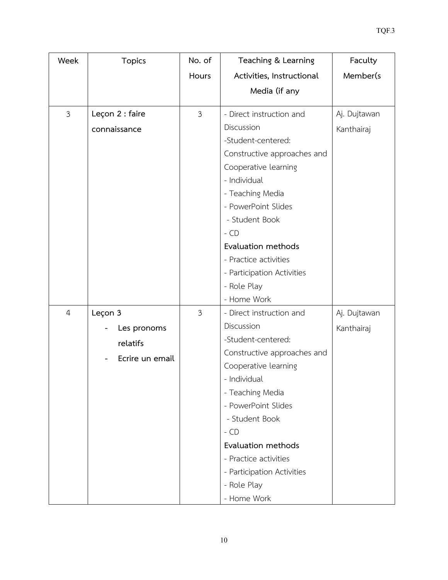| Week             | <b>Topics</b>   | No. of         | Teaching & Learning         | Faculty      |
|------------------|-----------------|----------------|-----------------------------|--------------|
|                  |                 | Hours          | Activities, Instructional   | Member(s     |
|                  |                 |                | Media (if any               |              |
| $\mathfrak{Z}$   | Leçon 2 : faire | $\mathfrak{Z}$ | - Direct instruction and    | Aj. Dujtawan |
|                  | connaissance    |                | Discussion                  | Kanthairaj   |
|                  |                 |                | -Student-centered:          |              |
|                  |                 |                | Constructive approaches and |              |
|                  |                 |                | Cooperative learning        |              |
|                  |                 |                | - Individual                |              |
|                  |                 |                | - Teaching Media            |              |
|                  |                 |                | - PowerPoint Slides         |              |
|                  |                 |                | - Student Book              |              |
|                  |                 |                | $-$ CD                      |              |
|                  |                 |                | Evaluation methods          |              |
|                  |                 |                | - Practice activities       |              |
|                  |                 |                | - Participation Activities  |              |
|                  |                 |                | - Role Play                 |              |
|                  |                 |                | - Home Work                 |              |
| $\boldsymbol{4}$ | Leçon 3         | 3              | - Direct instruction and    | Aj. Dujtawan |
|                  | Les pronoms     |                | Discussion                  | Kanthairaj   |
|                  | relatifs        |                | -Student-centered:          |              |
|                  | Ecrire un email |                | Constructive approaches and |              |
|                  |                 |                | Cooperative learning        |              |
|                  |                 |                | - Individual                |              |
|                  |                 |                | - Teaching Media            |              |
|                  |                 |                | - PowerPoint Slides         |              |
|                  |                 |                | - Student Book              |              |
|                  |                 |                | $-$ CD                      |              |
|                  |                 |                | Evaluation methods          |              |
|                  |                 |                | - Practice activities       |              |
|                  |                 |                | - Participation Activities  |              |
|                  |                 |                | - Role Play<br>- Home Work  |              |
|                  |                 |                |                             |              |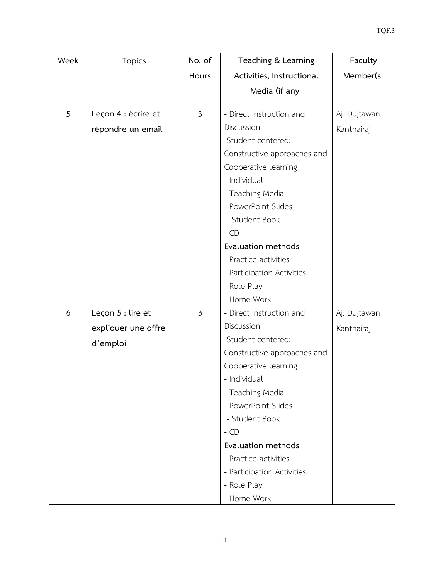| Week | <b>Topics</b>       | No. of         | Teaching & Learning          | Faculty      |
|------|---------------------|----------------|------------------------------|--------------|
|      |                     | Hours          | Activities, Instructional    | Member(s     |
|      |                     |                | Media (if any                |              |
| 5    | Leçon 4 : écrire et | $\mathfrak{Z}$ | - Direct instruction and     | Aj. Dujtawan |
|      |                     |                | Discussion                   | Kanthairaj   |
|      | répondre un email   |                | -Student-centered:           |              |
|      |                     |                | Constructive approaches and  |              |
|      |                     |                | Cooperative learning         |              |
|      |                     |                | - Individual                 |              |
|      |                     |                | - Teaching Media             |              |
|      |                     |                | - PowerPoint Slides          |              |
|      |                     |                | - Student Book               |              |
|      |                     |                | $-$ CD                       |              |
|      |                     |                | Evaluation methods           |              |
|      |                     |                | - Practice activities        |              |
|      |                     |                | - Participation Activities   |              |
|      |                     |                | - Role Play                  |              |
|      |                     |                | - Home Work                  |              |
| 6    | Leçon 5 : lire et   | 3              | - Direct instruction and     | Aj. Dujtawan |
|      | expliquer une offre |                | Discussion                   | Kanthairaj   |
|      | d'emploi            |                | -Student-centered:           |              |
|      |                     |                | Constructive approaches and  |              |
|      |                     |                | Cooperative learning         |              |
|      |                     |                | - Individual                 |              |
|      |                     |                | - Teaching Media             |              |
|      |                     |                | - PowerPoint Slides          |              |
|      |                     |                | - Student Book               |              |
|      |                     |                | $-$ CD<br>Evaluation methods |              |
|      |                     |                | - Practice activities        |              |
|      |                     |                | - Participation Activities   |              |
|      |                     |                | - Role Play                  |              |
|      |                     |                | - Home Work                  |              |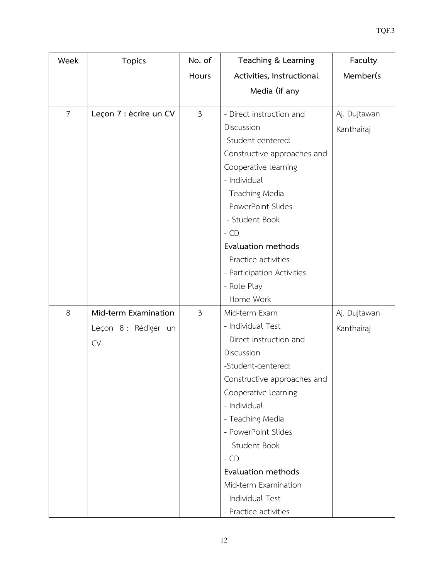| Week           | <b>Topics</b>          | No. of         | Teaching & Learning         | Faculty      |
|----------------|------------------------|----------------|-----------------------------|--------------|
|                |                        | Hours          | Activities, Instructional   | Member(s     |
|                |                        |                | Media (if any               |              |
| $\overline{7}$ | Leçon 7 : écrire un CV | $\mathfrak{Z}$ | - Direct instruction and    | Aj. Dujtawan |
|                |                        |                | Discussion                  | Kanthairaj   |
|                |                        |                | -Student-centered:          |              |
|                |                        |                | Constructive approaches and |              |
|                |                        |                | Cooperative learning        |              |
|                |                        |                | - Individual                |              |
|                |                        |                | - Teaching Media            |              |
|                |                        |                | - PowerPoint Slides         |              |
|                |                        |                | - Student Book              |              |
|                |                        |                | $-$ CD                      |              |
|                |                        |                | Evaluation methods          |              |
|                |                        |                | - Practice activities       |              |
|                |                        |                | - Participation Activities  |              |
|                |                        |                | - Role Play                 |              |
|                |                        |                | - Home Work                 |              |
| 8              | Mid-term Examination   | $\mathfrak{Z}$ | Mid-term Exam               | Aj. Dujtawan |
|                | Leçon 8 : Rédiger un   |                | - Individual Test           | Kanthairaj   |
|                | <b>CV</b>              |                | - Direct instruction and    |              |
|                |                        |                | Discussion                  |              |
|                |                        |                | -Student-centered:          |              |
|                |                        |                | Constructive approaches and |              |
|                |                        |                | Cooperative learning        |              |
|                |                        |                | - Individual                |              |
|                |                        |                | - Teaching Media            |              |
|                |                        |                | - PowerPoint Slides         |              |
|                |                        |                | - Student Book              |              |
|                |                        |                | $-$ CD                      |              |
|                |                        |                | Evaluation methods          |              |
|                |                        |                | Mid-term Examination        |              |
|                |                        |                | - Individual Test           |              |
|                |                        |                | - Practice activities       |              |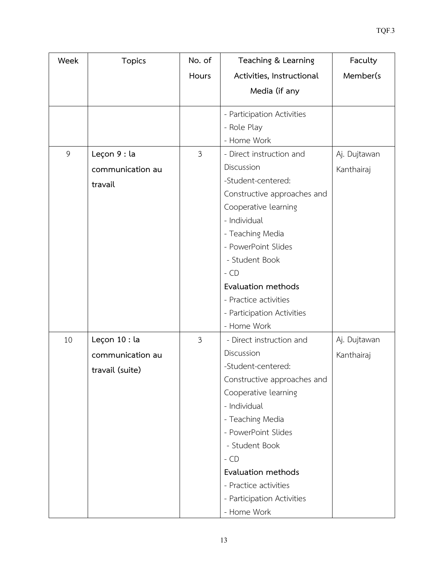| Week | <b>Topics</b>    | No. of         | Teaching & Learning         | Faculty      |
|------|------------------|----------------|-----------------------------|--------------|
|      |                  | Hours          | Activities, Instructional   | Member(s     |
|      |                  |                | Media (if any               |              |
|      |                  |                | - Participation Activities  |              |
|      |                  |                | - Role Play                 |              |
|      |                  |                | - Home Work                 |              |
| 9    | Leçon 9 : la     | $\mathfrak{Z}$ | - Direct instruction and    | Aj. Dujtawan |
|      |                  |                | Discussion                  |              |
|      | communication au |                | -Student-centered:          | Kanthairaj   |
|      | travail          |                | Constructive approaches and |              |
|      |                  |                | Cooperative learning        |              |
|      |                  |                | - Individual                |              |
|      |                  |                | - Teaching Media            |              |
|      |                  |                | - PowerPoint Slides         |              |
|      |                  |                | - Student Book              |              |
|      |                  |                | $-$ CD                      |              |
|      |                  |                | Evaluation methods          |              |
|      |                  |                | - Practice activities       |              |
|      |                  |                | - Participation Activities  |              |
|      |                  |                | - Home Work                 |              |
| 10   | Leçon 10 : la    | 3              | - Direct instruction and    | Aj. Dujtawan |
|      | communication au |                | Discussion                  | Kanthairaj   |
|      | travail (suite)  |                | -Student-centered:          |              |
|      |                  |                | Constructive approaches and |              |
|      |                  |                | Cooperative learning        |              |
|      |                  |                | - Individual                |              |
|      |                  |                | - Teaching Media            |              |
|      |                  |                | - PowerPoint Slides         |              |
|      |                  |                | - Student Book              |              |
|      |                  |                | $-$ CD                      |              |
|      |                  |                | Evaluation methods          |              |
|      |                  |                | - Practice activities       |              |
|      |                  |                | - Participation Activities  |              |
|      |                  |                | - Home Work                 |              |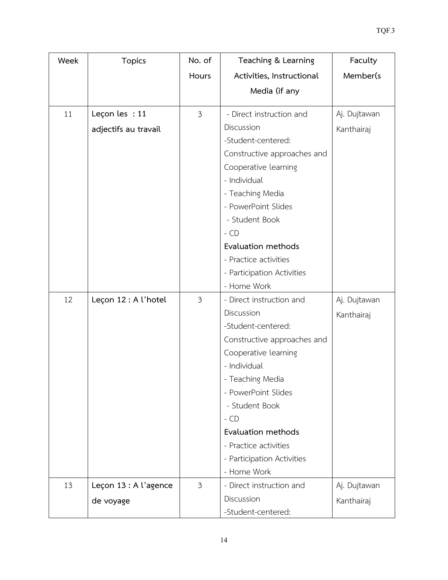| Week | <b>Topics</b>         | No. of         | Teaching & Learning         | Faculty      |
|------|-----------------------|----------------|-----------------------------|--------------|
|      |                       | Hours          | Activities, Instructional   | Member(s     |
|      |                       |                | Media (if any               |              |
| 11   | Leçon les : 11        | $\mathfrak{Z}$ | - Direct instruction and    | Aj. Dujtawan |
|      | adjectifs au travail  |                | Discussion                  | Kanthairaj   |
|      |                       |                | -Student-centered:          |              |
|      |                       |                | Constructive approaches and |              |
|      |                       |                | Cooperative learning        |              |
|      |                       |                | - Individual                |              |
|      |                       |                | - Teaching Media            |              |
|      |                       |                | - PowerPoint Slides         |              |
|      |                       |                | - Student Book              |              |
|      |                       |                | $-$ CD                      |              |
|      |                       |                | Evaluation methods          |              |
|      |                       |                | - Practice activities       |              |
|      |                       |                | - Participation Activities  |              |
|      |                       |                | - Home Work                 |              |
| 12   | Leçon 12 : A l'hotel  | $\mathfrak{Z}$ | - Direct instruction and    | Aj. Dujtawan |
|      |                       |                | Discussion                  | Kanthairaj   |
|      |                       |                | -Student-centered:          |              |
|      |                       |                | Constructive approaches and |              |
|      |                       |                | Cooperative learning        |              |
|      |                       |                | - Individual                |              |
|      |                       |                | - Teaching Media            |              |
|      |                       |                | - PowerPoint Slides         |              |
|      |                       |                | - Student Book              |              |
|      |                       |                | $-$ CD                      |              |
|      |                       |                | Evaluation methods          |              |
|      |                       |                | - Practice activities       |              |
|      |                       |                | - Participation Activities  |              |
|      |                       |                | - Home Work                 |              |
| 13   | Leçon 13 : A l'agence | $\mathfrak{Z}$ | - Direct instruction and    | Aj. Dujtawan |
|      | de voyage             |                | Discussion                  | Kanthairaj   |
|      |                       |                | -Student-centered:          |              |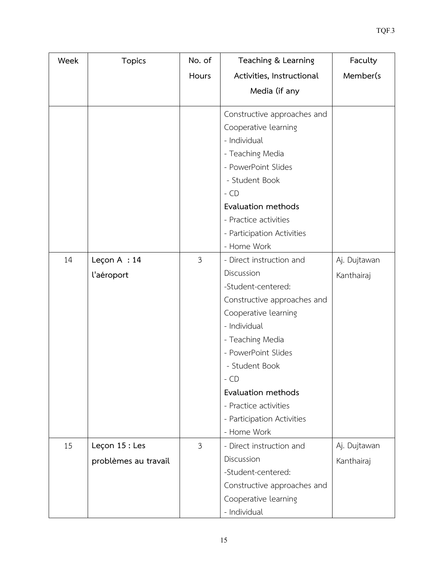| Week | <b>Topics</b>        | No. of | Teaching & Learning                  | Faculty      |
|------|----------------------|--------|--------------------------------------|--------------|
|      |                      | Hours  | Activities, Instructional            | Member(s     |
|      |                      |        | Media (if any                        |              |
|      |                      |        |                                      |              |
|      |                      |        | Constructive approaches and          |              |
|      |                      |        | Cooperative learning<br>- Individual |              |
|      |                      |        |                                      |              |
|      |                      |        | - Teaching Media                     |              |
|      |                      |        | - PowerPoint Slides                  |              |
|      |                      |        | - Student Book                       |              |
|      |                      |        | $-$ CD                               |              |
|      |                      |        | Evaluation methods                   |              |
|      |                      |        | - Practice activities                |              |
|      |                      |        | - Participation Activities           |              |
|      |                      |        | - Home Work                          |              |
| 14   | Leçon $A : 14$       | 3      | - Direct instruction and             | Aj. Dujtawan |
|      | l'aéroport           |        | Discussion                           | Kanthairaj   |
|      |                      |        | -Student-centered:                   |              |
|      |                      |        | Constructive approaches and          |              |
|      |                      |        | Cooperative learning                 |              |
|      |                      |        | - Individual                         |              |
|      |                      |        | - Teaching Media                     |              |
|      |                      |        | - PowerPoint Slides                  |              |
|      |                      |        | - Student Book                       |              |
|      |                      |        | - CD                                 |              |
|      |                      |        | Evaluation methods                   |              |
|      |                      |        | - Practice activities                |              |
|      |                      |        | - Participation Activities           |              |
|      |                      |        | - Home Work                          |              |
| 15   | Leçon 15 : Les       | 3      | - Direct instruction and             | Aj. Dujtawan |
|      | problèmes au travail |        | Discussion                           | Kanthairaj   |
|      |                      |        | -Student-centered:                   |              |
|      |                      |        | Constructive approaches and          |              |
|      |                      |        | Cooperative learning                 |              |
|      |                      |        | - Individual                         |              |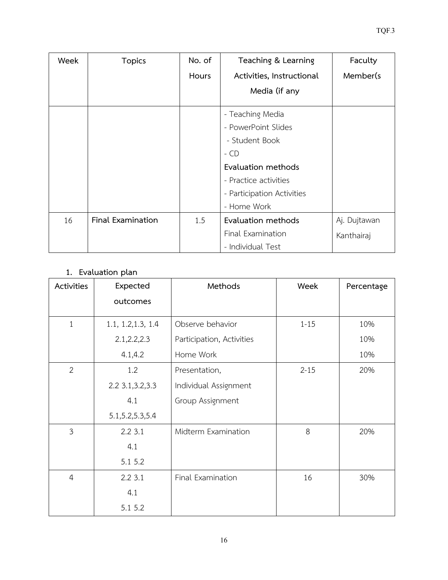| Week | <b>Topics</b>            | No. of | Teaching & Learning        | Faculty      |
|------|--------------------------|--------|----------------------------|--------------|
|      |                          | Hours  | Activities, Instructional  | Member(s)    |
|      |                          |        | Media (if any              |              |
|      |                          |        | - Teaching Media           |              |
|      |                          |        | - PowerPoint Slides        |              |
|      |                          |        | - Student Book             |              |
|      |                          |        | $-$ CD                     |              |
|      |                          |        | Evaluation methods         |              |
|      |                          |        | - Practice activities      |              |
|      |                          |        | - Participation Activities |              |
|      |                          |        | - Home Work                |              |
| 16   | <b>Final Examination</b> | 1.5    | Evaluation methods         | Aj. Dujtawan |
|      |                          |        | Final Examination          | Kanthairaj   |
|      |                          |        | - Individual Test          |              |

# **1. Evaluation plan**

| Activities     | Expected           | Methods                   | Week     | Percentage |
|----------------|--------------------|---------------------------|----------|------------|
|                | outcomes           |                           |          |            |
| $\mathbf{1}$   | 1.1, 1.2, 1.3, 1.4 | Observe behavior          | $1 - 15$ | 10%        |
|                | 2.1, 2.2, 2.3      | Participation, Activities |          | 10%        |
|                | 4.1, 4.2           | Home Work                 |          | 10%        |
| $\overline{2}$ | 1.2                | Presentation,             | $2 - 15$ | 20%        |
|                | 2.2 3.1, 3.2, 3.3  | Individual Assignment     |          |            |
|                | 4.1                | Group Assignment          |          |            |
|                | 5.1, 5.2, 5.3, 5.4 |                           |          |            |
| $\mathfrak{Z}$ | 2.23.1             | Midterm Examination       | 8        | 20%        |
|                | 4.1                |                           |          |            |
|                | 5.1 5.2            |                           |          |            |
| $\overline{4}$ | 2.23.1             | Final Examination         | 16       | 30%        |
|                | 4.1                |                           |          |            |
|                | 5.1 5.2            |                           |          |            |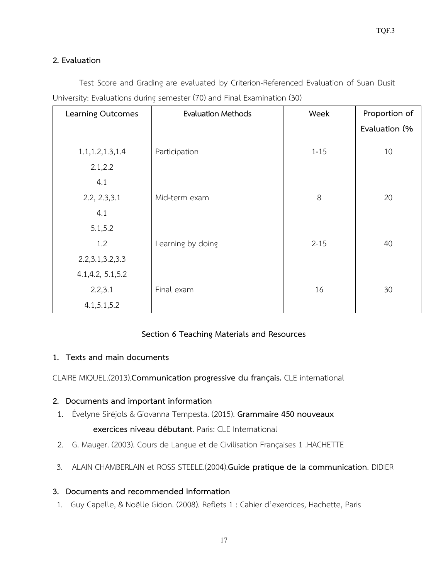## **2. Evaluation**

Test Score and Grading are evaluated by Criterion-Referenced Evaluation of Suan Dusit University: Evaluations during semester (70) and Final Examination (30)

| <b>Learning Outcomes</b> | <b>Evaluation Methods</b> | Week     | Proportion of |
|--------------------------|---------------------------|----------|---------------|
|                          |                           |          | Evaluation (% |
| 1.1, 1.2, 1.3, 1.4       | Participation             | $1 - 15$ | 10            |
| 2.1, 2.2                 |                           |          |               |
| 4.1                      |                           |          |               |
| 2.2, 2.3, 3.1            | Mid-term exam             | 8        | 20            |
| 4.1                      |                           |          |               |
| 5.1, 5.2                 |                           |          |               |
| 1.2                      | Learning by doing         | $2 - 15$ | 40            |
| 2.2, 3.1, 3.2, 3.3       |                           |          |               |
| 4.1, 4.2, 5.1, 5.2       |                           |          |               |
| 2.2,3.1                  | Final exam                | 16       | 30            |
| 4.1, 5.1, 5.2            |                           |          |               |

## **Section 6 Teaching Materials and Resources**

## **1. Texts and main documents**

CLAIRE MIQUEL.(2013).**Communication progressive du français.** CLE international

## **2. Documents and important information**

- 1. Évelyne Siréjols & Giovanna Tempesta. (2015). **Grammaire 450 nouveaux exercices niveau débutant**. Paris: CLE International
- 2. G. Mauger. (2003). Cours de Langue et de Civilisation Françaises 1 .HACHETTE
- 3. ALAIN CHAMBERLAIN et ROSS STEELE.(2004).**Guide pratique de la communication**. DIDIER

## **3. Documents and recommended information**

1. Guy Capelle, & Noëlle Gidon. (2008). Reflets 1 : Cahier d'exercices, Hachette, Paris